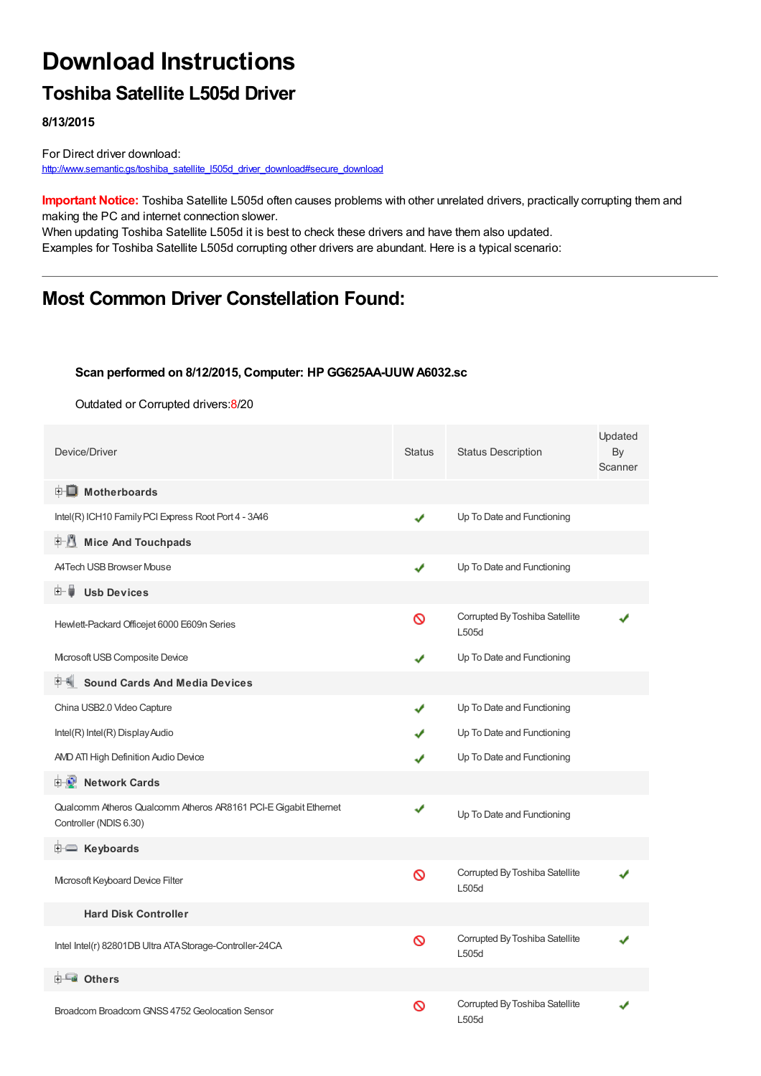# **Download Instructions**

### **Toshiba Satellite L505d Driver**

**8/13/2015**

For Direct driver download: [http://www.semantic.gs/toshiba\\_satellite\\_l505d\\_driver\\_download#secure\\_download](http://www.semantic.gs/toshiba_satellite_l505d_driver_download#secure_download)

**Important Notice:** Toshiba Satellite L505d often causes problems with other unrelated drivers, practically corrupting them and making the PC and internet connection slower.

When updating Toshiba Satellite L505d it is best to check these drivers and have them also updated. Examples for Toshiba Satellite L505d corrupting other drivers are abundant. Here is a typical scenario:

### **Most Common Driver Constellation Found:**

#### **Scan performed on 8/12/2015, Computer: HP GG625AA-UUW A6032.sc**

Outdated or Corrupted drivers:8/20

| Device/Driver                                                                             | <b>Status</b> | <b>Status Description</b>               | Updated<br>By<br>Scanner |
|-------------------------------------------------------------------------------------------|---------------|-----------------------------------------|--------------------------|
| <b>E</b> Motherboards                                                                     |               |                                         |                          |
| Intel(R) ICH10 Family PCI Express Root Port 4 - 3A46                                      | ✔             | Up To Date and Functioning              |                          |
| <b>Mice And Touchpads</b><br>E 1                                                          |               |                                         |                          |
| <b>A4Tech USB Browser Mouse</b>                                                           | ✔             | Up To Date and Functioning              |                          |
| <b>Usb Devices</b><br>⊞… ∎                                                                |               |                                         |                          |
| Hewlett-Packard Officejet 6000 E609n Series                                               | ଷ             | Corrupted By Toshiba Satellite<br>L505d |                          |
| Mcrosoft USB Composite Device                                                             | ✔             | Up To Date and Functioning              |                          |
| <b>Sound Cards And Media Devices</b>                                                      |               |                                         |                          |
| China USB2.0 Video Capture                                                                | ✔             | Up To Date and Functioning              |                          |
| Intel(R) Intel(R) Display Audio                                                           |               | Up To Date and Functioning              |                          |
| AMD ATI High Definition Audio Device                                                      | J             | Up To Date and Functioning              |                          |
| <b>Network Cards</b><br><b>E-D</b>                                                        |               |                                         |                          |
| Qualcomm Atheros Qualcomm Atheros AR8161 PCI-E Gigabit Ethernet<br>Controller (NDIS 6.30) | ✔             | Up To Date and Functioning              |                          |
| <b>E</b> Keyboards                                                                        |               |                                         |                          |
| Microsoft Keyboard Device Filter                                                          | Ø             | Corrupted By Toshiba Satellite<br>L505d |                          |
| <b>Hard Disk Controller</b>                                                               |               |                                         |                          |
| Intel Intel(r) 82801DB Ultra ATA Storage-Controller-24CA                                  | Ø             | Corrupted By Toshiba Satellite<br>L505d |                          |
| 白一■ Others                                                                                |               |                                         |                          |
| Broadcom Broadcom GNSS 4752 Geolocation Sensor                                            | ଷ             | Corrupted By Toshiba Satellite<br>L505d |                          |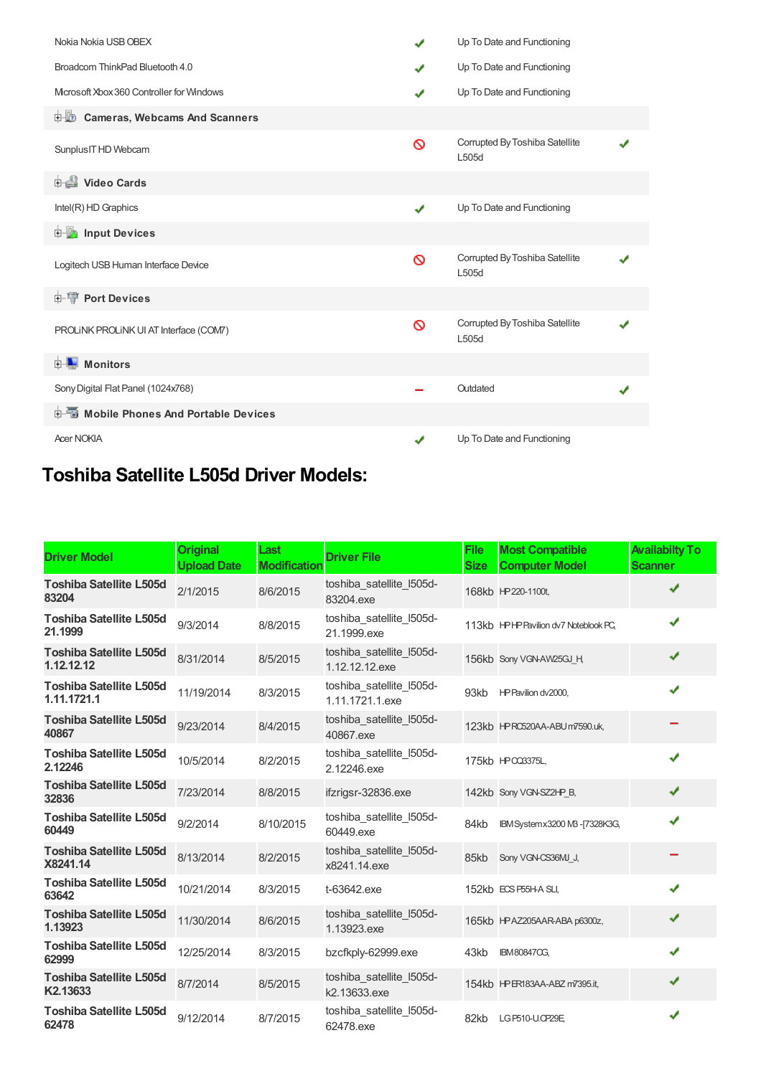| Nokia Nokia USB OBEX                      | ✔            | Up To Date and Functioning              |  |
|-------------------------------------------|--------------|-----------------------------------------|--|
| Broadcom ThinkPad Bluetooth 4.0           | ✔            | Up To Date and Functioning              |  |
| Microsoft Xbox 360 Controller for Windows | ✔            | Up To Date and Functioning              |  |
| <b>D</b> Cameras, Webcams And Scanners    |              |                                         |  |
| Sunplus IT HD Webcam                      | Ø            | Corrupted By Toshiba Satellite<br>L505d |  |
| <b>Digital Video Cards</b>                |              |                                         |  |
| Intel(R) HD Graphics                      | $\checkmark$ | Up To Date and Functioning              |  |
| <b>Devices</b> Input Devices              |              |                                         |  |
| Logitech USB Human Interface Device       | ଷ            | Corrupted By Toshiba Satellite<br>L505d |  |
| <b>E-19 Port Devices</b>                  |              |                                         |  |
| PROLINK PROLINK UI AT Interface (COM7)    | Ø            | Corrupted By Toshiba Satellite<br>L505d |  |
| <b>E</b> Monitors                         |              |                                         |  |
| Sony Digital Flat Panel (1024x768)        |              | Outdated                                |  |
|                                           |              |                                         |  |
| <b>Acer NOKIA</b>                         | ✔            | Up To Date and Functioning              |  |

## **Toshiba Satellite L505d Driver Models:**

| <b>Driver Model</b>                           | <b>Original</b><br><b>Upload Date</b> | Last<br><b>Modification</b> | <b>Driver File</b>                          | File<br><b>Size</b> | <b>Most Compatible</b><br><b>Computer Model</b> | <b>Availabilty To</b><br><b>Scanner</b> |
|-----------------------------------------------|---------------------------------------|-----------------------------|---------------------------------------------|---------------------|-------------------------------------------------|-----------------------------------------|
| <b>Toshiba Satellite L505d</b><br>83204       | 2/1/2015                              | 8/6/2015                    | toshiba_satellite_I505d-<br>83204.exe       |                     | 168kb HP220-1100t,                              | J                                       |
| <b>Toshiba Satellite L505d</b><br>21.1999     | 9/3/2014                              | 8/8/2015                    | toshiba_satellite_I505d-<br>21.1999.exe     |                     | 113kb HPHP Pavilion dv7 Noteblook PC,           | J                                       |
| <b>Toshiba Satellite L505d</b><br>1.12.12.12  | 8/31/2014                             | 8/5/2015                    | toshiba satellite I505d-<br>1.12.12.12.exe  |                     | 156kb Sony VGN-AW25GJ H                         | J                                       |
| <b>Toshiba Satellite L505d</b><br>1.11.1721.1 | 11/19/2014                            | 8/3/2015                    | toshiba satellite I505d-<br>1.11.1721.1.exe | 93kb                | HP Pavilion dv2000,                             | J                                       |
| <b>Toshiba Satellite L505d</b><br>40867       | 9/23/2014                             | 8/4/2015                    | toshiba satellite I505d-<br>40867.exe       |                     | 123kb HPRC520AA-ABUm7590.uk,                    |                                         |
| <b>Toshiba Satellite L505d</b><br>2.12246     | 10/5/2014                             | 8/2/2015                    | toshiba satellite I505d-<br>2.12246.exe     |                     | 175kb HP CQ3375L,                               | J                                       |
| <b>Toshiba Satellite L505d</b><br>32836       | 7/23/2014                             | 8/8/2015                    | ifzrigsr-32836.exe                          |                     | 142kb Sony VGN-SZ2HP B.                         | ✔                                       |
| <b>Toshiba Satellite L505d</b><br>60449       | 9/2/2014                              | 8/10/2015                   | toshiba_satellite_I505d-<br>60449.exe       | 84kb                | IBM Systemx3200 M3 - [7328K3G,                  | J                                       |
| <b>Toshiba Satellite L505d</b><br>X8241.14    | 8/13/2014                             | 8/2/2015                    | toshiba satellite I505d-<br>x8241.14.exe    | 85kb                | Sony VGN-CS36MJ J,                              |                                         |
| <b>Toshiba Satellite L505d</b><br>63642       | 10/21/2014                            | 8/3/2015                    | t-63642.exe                                 |                     | 152kb ECS P55H-A SLI,                           | J                                       |
| <b>Toshiba Satellite L505d</b><br>1.13923     | 11/30/2014                            | 8/6/2015                    | toshiba_satellite_I505d-<br>1.13923.exe     |                     | 165kb HPAZ205AAR-ABA p6300z,                    | ✔                                       |
| <b>Toshiba Satellite L505d</b><br>62999       | 12/25/2014                            | 8/3/2015                    | bzcfkply-62999.exe                          | 43kb                | <b>IBM80847OG,</b>                              | J                                       |
| <b>Toshiba Satellite L505d</b><br>K2.13633    | 8/7/2014                              | 8/5/2015                    | toshiba_satellite_I505d-<br>k2.13633.exe    |                     | 154kb HPER183AA-ABZ m7395.it,                   | ✔                                       |
| <b>Toshiba Satellite L505d</b><br>62478       | 9/12/2014                             | 8/7/2015                    | toshiba_satellite_I505d-<br>62478.exe       | 82kb                | LG P510-U.OP29E                                 |                                         |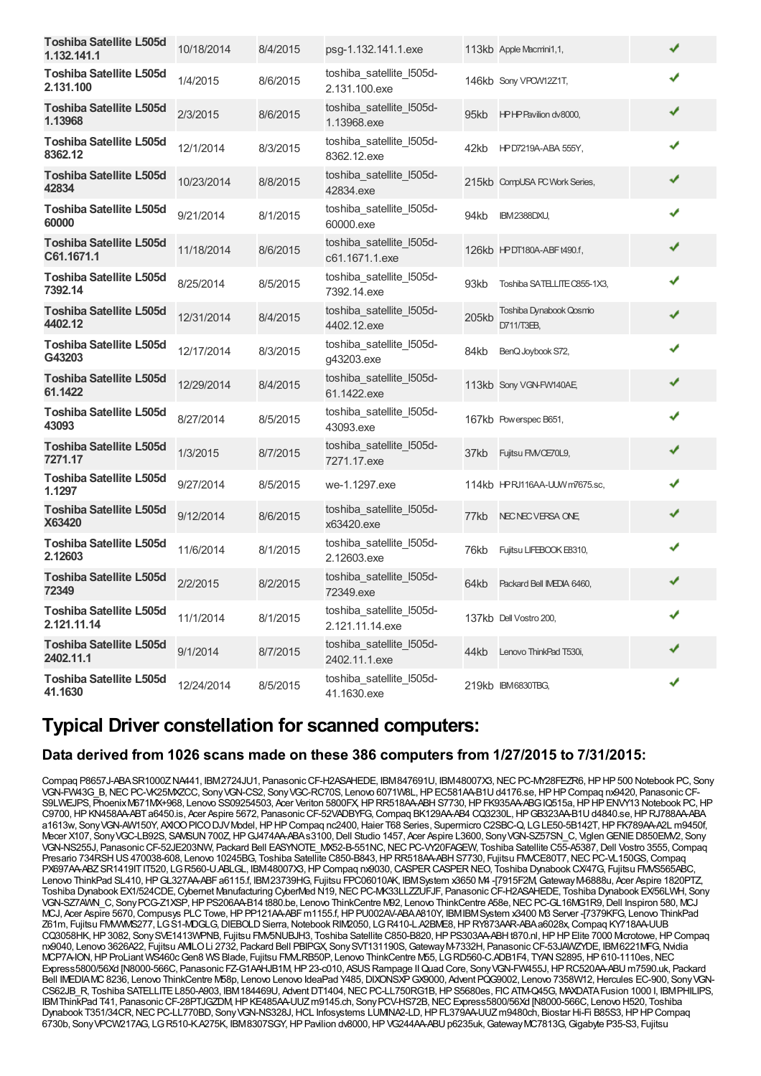| <b>Toshiba Satellite L505d</b><br>1.132.141.1 | 10/18/2014 | 8/4/2015 | psg-1.132.141.1.exe                         |       | 113kb Apple Macmini1,1,              | ✔ |  |
|-----------------------------------------------|------------|----------|---------------------------------------------|-------|--------------------------------------|---|--|
| <b>Toshiba Satellite L505d</b><br>2.131.100   | 1/4/2015   | 8/6/2015 | toshiba_satellite_I505d-<br>2.131.100.exe   |       | 146kb Sony VPCW12Z1T,                | ✔ |  |
| <b>Toshiba Satellite L505d</b><br>1.13968     | 2/3/2015   | 8/6/2015 | toshiba_satellite_I505d-<br>1.13968.exe     | 95kb  | HPHP Pavilion dv8000,                | ✔ |  |
| Toshiba Satellite L505d<br>8362.12            | 12/1/2014  | 8/3/2015 | toshiba_satellite_I505d-<br>8362.12.exe     | 42kb  | HPD7219A-ABA 555Y,                   | ✔ |  |
| <b>Toshiba Satellite L505d</b><br>42834       | 10/23/2014 | 8/8/2015 | toshiba satellite I505d-<br>42834.exe       |       | 215kb CompUSA PC Work Series,        | ✔ |  |
| <b>Toshiba Satellite L505d</b><br>60000       | 9/21/2014  | 8/1/2015 | toshiba satellite I505d-<br>60000.exe       | 94kb  | IBM2388DXU,                          | ✔ |  |
| <b>Toshiba Satellite L505d</b><br>C61.1671.1  | 11/18/2014 | 8/6/2015 | toshiba_satellite_I505d-<br>c61.1671.1.exe  |       | 126kb HPDT180A-ABFt490.f,            | ✔ |  |
| Toshiba Satellite L505d<br>7392.14            | 8/25/2014  | 8/5/2015 | toshiba_satellite_I505d-<br>7392.14.exe     | 93kb  | Toshiba SATELLITE C855-1X3,          | ✔ |  |
| <b>Toshiba Satellite L505d</b><br>4402.12     | 12/31/2014 | 8/4/2015 | toshiba satellite I505d-<br>4402.12.exe     | 205kb | Toshiba Dynabook Qosmo<br>D711/T3EB, | ✔ |  |
| <b>Toshiba Satellite L505d</b><br>G43203      | 12/17/2014 | 8/3/2015 | toshiba satellite I505d-<br>g43203.exe      | 84kb  | BenQ Joybook S72,                    |   |  |
| <b>Toshiba Satellite L505d</b><br>61.1422     | 12/29/2014 | 8/4/2015 | toshiba satellite I505d-<br>61.1422.exe     |       | 113kb Sony VGN-FW140AE               | ✔ |  |
| Toshiba Satellite L505d<br>43093              | 8/27/2014  | 8/5/2015 | toshiba satellite I505d-<br>43093.exe       |       | 167kb Powerspec B651,                | ✔ |  |
| <b>Toshiba Satellite L505d</b><br>7271.17     | 1/3/2015   | 8/7/2015 | toshiba_satellite_I505d-<br>7271.17.exe     | 37kb  | Fujitsu FMVCE70L9,                   | ✔ |  |
| <b>Toshiba Satellite L505d</b><br>1.1297      | 9/27/2014  | 8/5/2015 | we-1.1297.exe                               |       | 114kb HPRJ116AA-UUW m7675.sc,        | ✔ |  |
| <b>Toshiba Satellite L505d</b><br>X63420      | 9/12/2014  | 8/6/2015 | toshiba_satellite_I505d-<br>x63420.exe      | 77kb  | NEC NEC VERSA ONE                    | ✔ |  |
| <b>Toshiba Satellite L505d</b><br>2.12603     | 11/6/2014  | 8/1/2015 | toshiba_satellite_l505d-<br>2.12603.exe     | 76kb  | Fujitsu LIFEBOOK E8310,              | ✔ |  |
| <b>Toshiba Satellite L505d</b><br>72349       | 2/2/2015   | 8/2/2015 | toshiba_satellite_I505d-<br>72349.exe       | 64kb  | Packard Bell IMEDIA 6460,            | ✔ |  |
| <b>Toshiba Satellite L505d</b><br>2.121.11.14 | 11/1/2014  | 8/1/2015 | toshiba_satellite_I505d-<br>2.121.11.14.exe |       | 137kb Dell Vostro 200,               | ✔ |  |
| <b>Toshiba Satellite L505d</b><br>2402.11.1   | 9/1/2014   | 8/7/2015 | toshiba_satellite_I505d-<br>2402.11.1.exe   | 44kb  | Lenovo ThinkPad T530i,               | ✔ |  |
| Toshiba Satellite L505d<br>41.1630            | 12/24/2014 | 8/5/2015 | toshiba_satellite_I505d-<br>41.1630.exe     |       | 219kb IBM6830TBG,                    | ✔ |  |

### **Typical Driver constellation for scanned computers:**

#### **Data derived from 1026 scans made on these 386 computers from 1/27/2015 to 7/31/2015:**

Compaq P8657J-ABASR1000ZNA441, IBM2724JU1, Panasonic CF-H2ASAHEDE, IBM847691U, IBM48007X3, NEC PC-MY28FEZR6, HP HP 500 Notebook PC, Sony VGN-FW43G\_B,NECPC-VK25MXZCC, SonyVGN-CS2, SonyVGC-RC70S, Lenovo 6071W8L,HPEC581AA-B1Ud4176.se,HPHPCompaq nx9420, PanasonicCF-S9LWEJPS, PhoenixM671MX+968, Lenovo SS09254503, Acer Veriton 5800FX, HPRR518AA-ABH S7730, HP FK935AA-ABG IQ515a, HP HP ENVY13 Notebook PC, HP C9700,HPKN458AA-ABTa6450.is, Acer Aspire 5672, PanasonicCF-52VADBYFG,Compaq BK129AA-AB4 CQ3230L,HPGB323AA-B1Ud4840.se,HPRJ788AA-ABA a1613w, SonyVGN-AW150Y, AXIOOPICODJVModel,HPHPCompaq nc2400,Haier T68 Series, Supermicro C2SBC-Q, LGLE50-5B142T,HPFK789AA-A2L m9450f, Mecer X107, SonyVGC-LB92S, SAMSUN700Z,HPGJ474AA-ABAs3100,Dell Studio 1457, Acer Aspire L3600, SonyVGN-SZ57SN\_C, ViglenGENIED850EMV2, Sony VGN-NS255J, PanasonicCF-52JE203NW, Packard Bell EASYNOTE\_MX52-B-551NC,NECPC-VY20FAGEW, Toshiba Satellite C55-A5387,Dell Vostro 3555,Compaq Presario 734RSH US470038-608, Lenovo 10245BG, Toshiba Satellite C850-B843, HP RR518AA-ABH S7730, Fujitsu FMVCE80T7, NECPC-VL150GS, Compaq PX697AA-ABZSR1419ITIT520, LGR560-U.ABLGL, IBM48007X3, HP Compaq nx9030, CASPER CASPER NEO, Toshiba Dynabook CX/47G, Fujitsu FMVS565ABC, Lenovo ThinkPad SL410,HPGL327AA-ABFa6115.f, IBM23739HG, Fujitsu FPC06010AK, IBMSystem x3650 M4 -[7915F2M,GatewayM-6888u, Acer Aspire 1820PTZ, Toshiba Dynabook EX1/524CDE, Cybernet Manufacturing CyberMed N19, NEC PC-MK33LLZZUFJF, Panasonic CF-H2ASAHEDE, Toshiba Dynabook EX/56LWH, Sony VGN-SZ7AWN\_C, Sony PCG-Z1XSP, HP PS206AA-B14 t880.be, Lenovo ThinkCentre M92, Lenovo ThinkCentre A58e, NEC PC-GL16MG1R9, Dell Inspiron 580, MCJ MCJ, Acer Aspire 5670,Compusys PLCTowe,HPPP121AA-ABFm1155.f,HPPU002AV-ABAA810Y, IBMIBMSystem x3400 M3 Server -[7379KFG, Lenovo ThinkPad Z61m, Fujitsu FMVWMS277, LGS1-MDGLG,DIEBOLDSierra,NotebookRIM2050, LGR410-L.A2BME8,HPRY873AAR-ABAa6028x,Compaq KY718AA-UUB CQ3058HK, HP3082, SonySVE1413WPNB, Fujitsu FMV5NUBJH3, Toshiba Satellite C850-B820, HP PS303AA-ABHt870.nl, HP HP Elite 7000 Mcrotowe, HP Compaq nx9040, Lenovo 3626A22, Fujitsu AMILOLi 2732, Packard Bell PBIPGX, SonySVT131190S,GatewayM-7332H, PanasonicCF-53JAWZYDE, IBM6221MFG,Nvidia MCP7A-ION, HP ProLiant WS460c Gen8 WS Blade, Fujitsu FMLRB50P, Lenovo ThinkCentre M55, LG RD560-C.ADB1F4, TYAN S2895, HP610-1110es, NEC Express5800/56Xd [N8000-566C, Panasonic FZ-G1AAHJB1M,HP23-c010, ASUSRampage IIQuad Core, SonyVGN-FW455J,HPRC520AA-ABU m7590.uk, Packard Bell IMEDIAMC 8236, Lenovo ThinkCentre M58p, Lenovo Lenovo IdeaPad Y485, DIXONSXP GX9000, Advent PQG9002, Lenovo 7358W12, Hercules EC-900, Sony VGN-CS62JB\_R, Toshiba SATELLITE L850-A903, IBM184469U, Advent DT1404, NEC PC-LL750RG1B, HP S5680es, FIC ATM-Q45G, MAXDATA Fusion 1000 I, IBM PHILIPS, IBMThinkPad T41, Panasonic CF-28PTJGZDM, HP KE485AA-UUZ m9145.ch, Sony PCV-HS72B, NEC Express5800/56Xd [N8000-566C, Lenovo H520, Toshiba Dynabook T351/34CR,NECPC-LL770BD, SonyVGN-NS328J,HCL Infosystems LUMINA2-LD,HPFL379AA-UUZm9480ch, Biostar Hi-Fi B85S3,HPHPCompaq 6730b, SonyVPCW217AG, LGR510-K.A275K, IBM8307SGY,HPPavilion dv8000,HPVG244AA-ABUp6235uk,GatewayMC7813G,Gigabyte P35-S3, Fujitsu